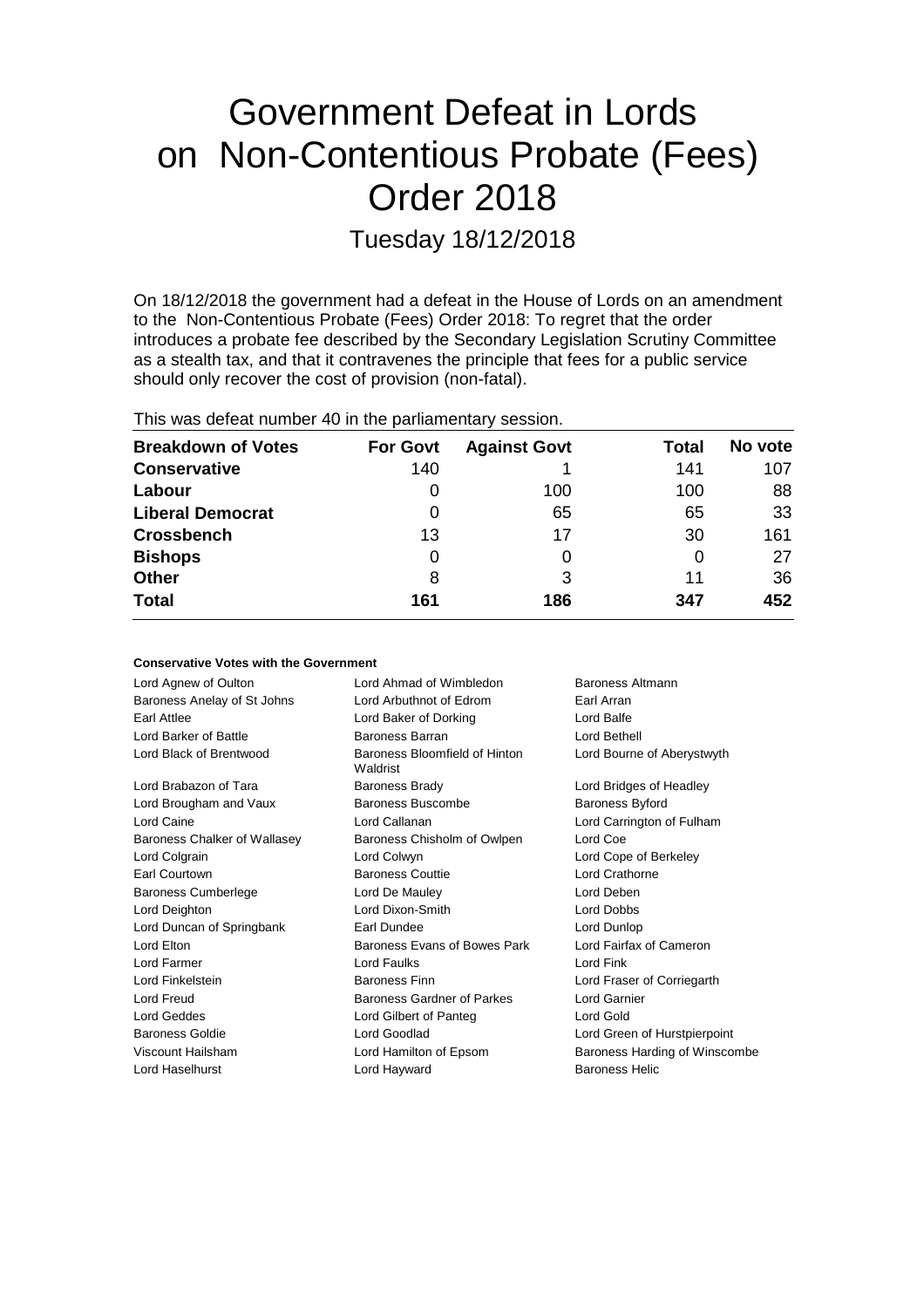# Government Defeat in Lords on Non-Contentious Probate (Fees) Order 2018

Tuesday 18/12/2018

On 18/12/2018 the government had a defeat in the House of Lords on an amendment to the Non-Contentious Probate (Fees) Order 2018: To regret that the order introduces a probate fee described by the Secondary Legislation Scrutiny Committee as a stealth tax, and that it contravenes the principle that fees for a public service should only recover the cost of provision (non-fatal).

|  |  |  |  |  | This was defeat number 40 in the parliamentary session. |  |
|--|--|--|--|--|---------------------------------------------------------|--|
|--|--|--|--|--|---------------------------------------------------------|--|

**Conservative Votes with the Government**

| <b>Breakdown of Votes</b> | <b>For Govt</b> | <b>Against Govt</b> | Total | No vote |
|---------------------------|-----------------|---------------------|-------|---------|
| <b>Conservative</b>       | 140             |                     | 141   | 107     |
| Labour                    | 0               | 100                 | 100   | 88      |
| <b>Liberal Democrat</b>   | 0               | 65                  | 65    | 33      |
| <b>Crossbench</b>         | 13              | 17                  | 30    | 161     |
| <b>Bishops</b>            | 0               |                     | O     | 27      |
| <b>Other</b>              | 8               | 3                   | 11    | 36      |
| <b>Total</b>              | 161             | 186                 | 347   | 452     |

| oonagi vuuvu vuud willi liiu oovuinnulli |                                           |                               |
|------------------------------------------|-------------------------------------------|-------------------------------|
| Lord Agnew of Oulton                     | Lord Ahmad of Wimbledon                   | Baroness Altmann              |
| Baroness Anelay of St Johns              | Lord Arbuthnot of Edrom                   | Earl Arran                    |
| Earl Attlee                              | Lord Baker of Dorking                     | Lord Balfe                    |
| Lord Barker of Battle                    | Baroness Barran                           | Lord Bethell                  |
| Lord Black of Brentwood                  | Baroness Bloomfield of Hinton<br>Waldrist | Lord Bourne of Aberystwyth    |
| Lord Brabazon of Tara                    | <b>Baroness Brady</b>                     | Lord Bridges of Headley       |
| Lord Brougham and Vaux                   | Baroness Buscombe                         | <b>Baroness Byford</b>        |
| Lord Caine                               | Lord Callanan                             | Lord Carrington of Fulham     |
| Baroness Chalker of Wallasey             | Baroness Chisholm of Owlpen               | Lord Coe                      |
| Lord Colgrain                            | Lord Colwyn                               | Lord Cope of Berkeley         |
| Earl Courtown                            | <b>Baroness Couttie</b>                   | Lord Crathorne                |
| <b>Baroness Cumberlege</b>               | Lord De Mauley                            | Lord Deben                    |
| Lord Deighton                            | Lord Dixon-Smith                          | Lord Dobbs                    |
| Lord Duncan of Springbank                | Earl Dundee                               | Lord Dunlop                   |
| Lord Elton                               | Baroness Evans of Bowes Park              | Lord Fairfax of Cameron       |
| Lord Farmer                              | Lord Faulks                               | Lord Fink                     |
| Lord Finkelstein                         | <b>Baroness Finn</b>                      | Lord Fraser of Corriegarth    |
| Lord Freud                               | Baroness Gardner of Parkes                | Lord Garnier                  |
| Lord Geddes                              | Lord Gilbert of Panteg                    | Lord Gold                     |
| <b>Baroness Goldie</b>                   | Lord Goodlad                              | Lord Green of Hurstpierpoint  |
| Viscount Hailsham                        | Lord Hamilton of Epsom                    | Baroness Harding of Winscombe |
| Lord Haselhurst                          | Lord Hayward                              | <b>Baroness Helic</b>         |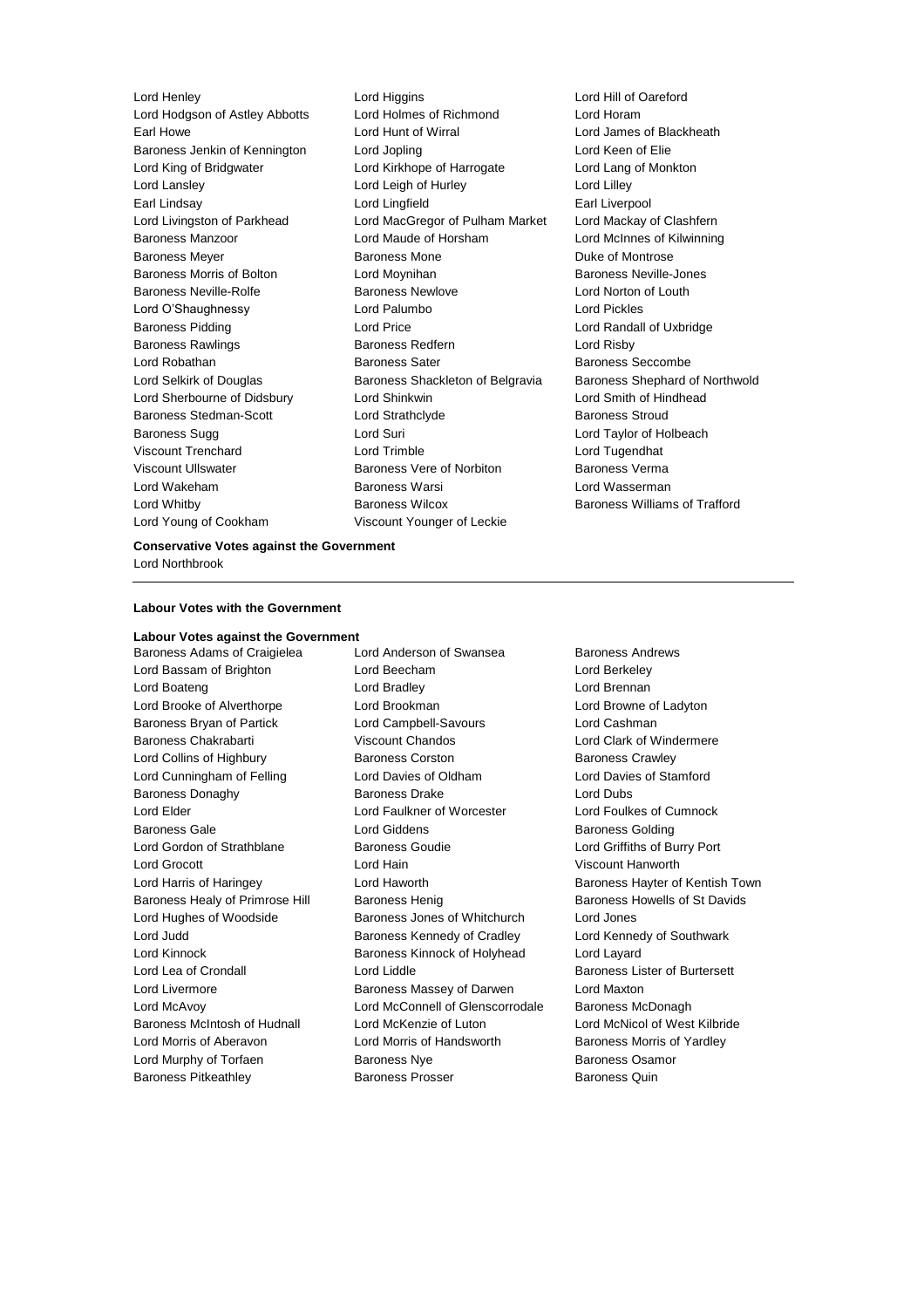Lord Young of Cookham Viscount Younger of Leckie

Lord Henley Lord Higgins Lord Hill of Oareford Lord Hodgson of Astley Abbotts Lord Holmes of Richmond Lord Horam Earl Howe Lord Hunt of Wirral Lord James of Blackheath Baroness Jenkin of Kennington Lord Jopling Lord Keen of Elie Lord King of Bridgwater Lord Kirkhope of Harrogate Lord Lang of Monkton Lord Lansley **Lord Leigh of Hurley** Lord Lord Lilley Earl Lindsay Lord Lingfield Earl Liverpool Lord Livingston of Parkhead Lord MacGregor of Pulham Market Lord Mackay of Clashfern Baroness Manzoor Lord Maude of Horsham Lord McInnes of Kilwinning Baroness Meyer **Baroness Mone** Baroness Mone **Duke of Montrose** Baroness Morris of Bolton Lord Moynihan Baroness Neville-Jones Baroness Neville-Rolfe **Baroness Newlove** Baroness Newlove **Lord Norton of Louth** Lord O'Shaughnessy Lord Palumbo Lord Pickles Baroness Pidding **Lord Price** Lord Price **Lord Randall of Uxbridge** Baroness Rawlings **Baroness Redfern Baroness Redfern Lord Risby** Lord Robathan **Baroness Sater** Baroness Sater Baroness Seccombe Lord Selkirk of Douglas Baroness Shackleton of Belgravia Baroness Shephard of Northwold Lord Sherbourne of Didsbury Lord Shinkwin Lord Smith of Hindhead Baroness Stedman-Scott **Lord Strathclyde** Baroness Stroud Baroness Sugg Lord Suri Lord Taylor of Holbeach Viscount Trenchard Lord Trimble Lord Tugendhat Viscount Ullswater Baroness Vere of Norbiton Baroness Verma Lord Wakeham **Baroness Warsi** Baroness Warsi **Lord Wasserman** Lord Whitby Baroness Wilcox Baroness Williams of Trafford

**Conservative Votes against the Government** Lord Northbrook

### **Labour Votes with the Government**

**Labour Votes against the Government**

Lord Bassam of Brighton Lord Beecham Lord Berkeley Lord Boateng **Lord Bradley Lord Bradley Lord Brennan** Lord Brooke of Alverthorpe Lord Brookman Lord Browne of Ladyton Baroness Bryan of Partick Lord Campbell-Savours Lord Cashman Baroness Chakrabarti **Viscount Chandos Lord Clark of Windermere** Lord Collins of Highbury **Baroness Corston** Baroness Corston Baroness Crawley Lord Cunningham of Felling Lord Davies of Oldham Lord Davies of Stamford Baroness Donaghy Baroness Drake Lord Dubs Lord Elder Lord Faulkner of Worcester Lord Foulkes of Cumnock Baroness Gale Lord Giddens Baroness Golding Lord Gordon of Strathblane Baroness Goudie Lord Griffiths of Burry Port Lord Grocott Lord Hain Viscount Hanworth Baroness Healy of Primrose Hill Baroness Henig Baroness Howells of St Davids Lord Hughes of Woodside Baroness Jones of Whitchurch Lord Jones Lord Judd **Baroness Kennedy of Cradley** Lord Kennedy of Southwark Lord Kinnock Baroness Kinnock of Holyhead Lord Layard Lord Lea of Crondall **Lord Liddle Lord Liddle Baroness Lister of Burtersett** Lord Livermore **Baroness Massey of Darwen** Lord Maxton Lord McAvoy Lord McConnell of Glenscorrodale Baroness McDonagh Baroness McIntosh of Hudnall Lord McKenzie of Luton Lord McNicol of West Kilbride Lord Morris of Aberavon **Lord Morris of Handsworth** Baroness Morris of Yardley Lord Murphy of Torfaen **Baroness Nye** Baroness Osamor Baroness Pitkeathley **Baroness Prosser** Baroness Quin

Baroness Adams of Craigielea Lord Anderson of Swansea Baroness Andrews

Lord Harris of Haringey **Lord Haworth Communist Communist Communist Communist Communist Communist Communist Communist Communist Communist Communist Communist Communist Communist Communist Communist Communist Communist Comm**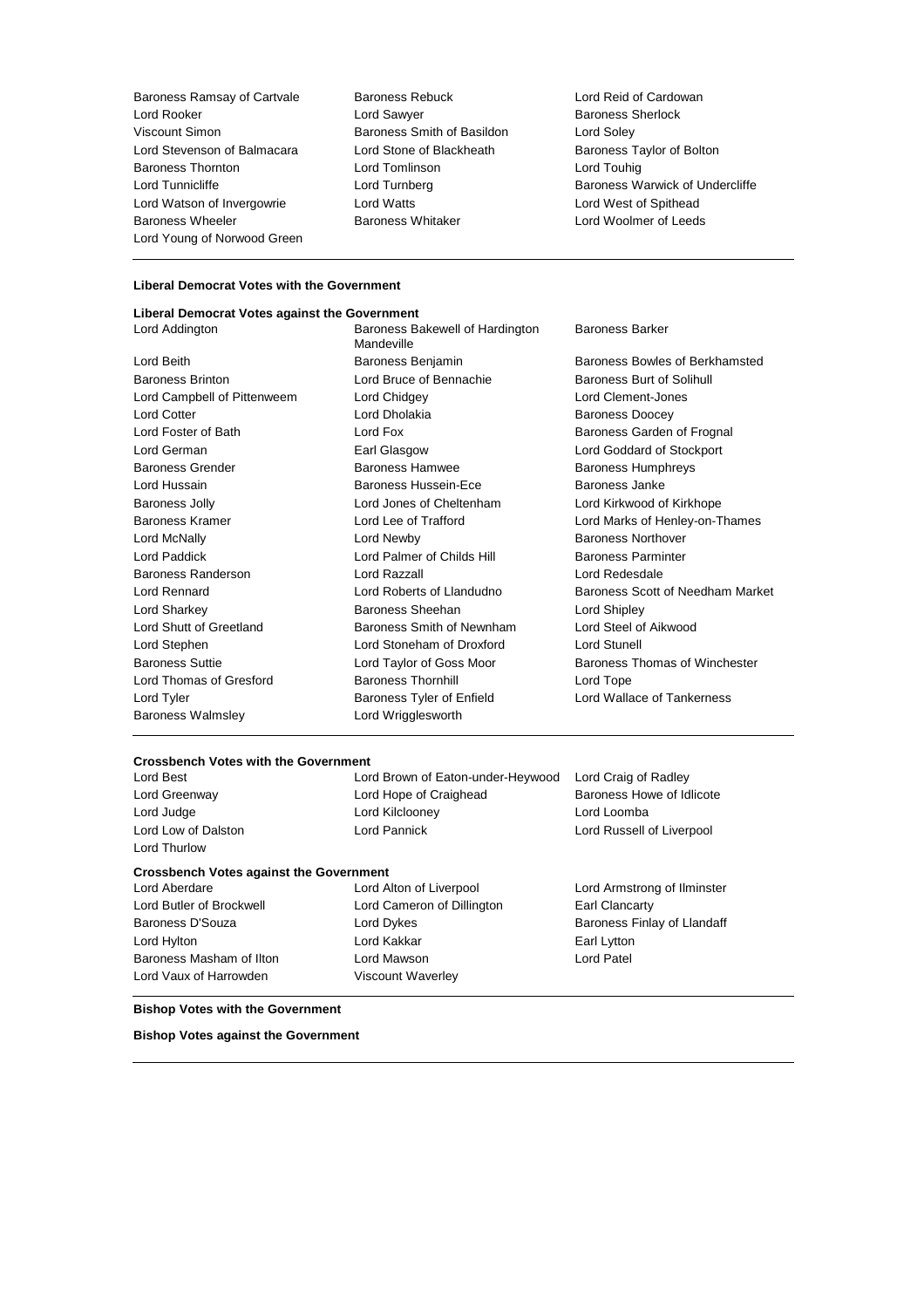Baroness Ramsay of Cartvale Baroness Rebuck Lord Reid of Cardowan **Lord Rooker Communist Construction Communist Construction Communist Construction Communist Communist Communist Communist Communist Communist Communist Communist Communist Communist Communist Communist Communist Communist** Viscount Simon Baroness Smith of Basildon Lord Soley Lord Stevenson of Balmacara Lord Stone of Blackheath Baroness Taylor of Bolton Baroness Thornton Lord Tomlinson Lord Touhig Lord Watson of Invergowrie Lord Watts Lord West of Spithead Baroness Wheeler **Baroness Whitaker Baroness Whitaker Leeds Lord Woolmer of Leeds** Lord Young of Norwood Green

Lord Tunnicliffe **Lord Turnberg** Lord Turnberg **Baroness Warwick of Undercliffe** 

#### **Liberal Democrat Votes with the Government**

#### **Liberal Democrat Votes against the Government**

Lord Addington **Baroness Bakewell of Hardington** Mandeville Baroness Barker Lord Beith Baroness Benjamin Baroness Bowles of Berkhamsted Baroness Brinton **Bruce of Bennachie** Baroness Burt of Solihull Baroness Burt of Solihull Lord Campbell of Pittenweem Lord Chidgey Lord Clement-Jones Lord Cotter **Lord Dholakia** Baroness Doocey Lord Foster of Bath **Lord Fox** Lord Fox **Baroness Garden of Frognal** Lord German Earl Glasgow Lord Goddard of Stockport Baroness Grender Baroness Hamwee Baroness Humphreys Lord Hussain **Baroness Hussein-Ece** Baroness Hussein-Baroness Janke Baroness Jolly Lord Jones of Cheltenham Lord Kirkwood of Kirkhope Baroness Kramer Lord Lee of Trafford Lord Marks of Henley-on-Thames Lord McNally Lord Newby Baroness Northover Lord Paddick Lord Palmer of Childs Hill Baroness Parminter Baroness Randerson Lord Razzall Lord Redesdale Lord Rennard Lord Roberts of Llandudno Baroness Scott of Needham Market Lord Sharkey **Baroness Sheehan** Lord Shipley **Constants In the Shipley** Lord Shutt of Greetland **Baroness Smith of Newnham** Lord Steel of Aikwood Lord Stephen Lord Stoneham of Droxford Lord Stunell Baroness Suttie **Lord Taylor of Goss Moor** Baroness Thomas of Winchester Lord Thomas of Gresford Baroness Thornhill Lord Tope Lord Tyler **Baroness Tyler of Enfield** Lord Wallace of Tankerness Core Baroness Walmsley **Lord Wrigglesworth** 

## **Crossbench Votes with the Government**

Lord Thurlow

Lord Brown of Eaton-under-Heywood Lord Craig of Radley Lord Greenway Lord Hope of Craighead Baroness Howe of Idlicote Lord Judge Lord Kilclooney Lord Loomba Lord Low of Dalston **Lord Pannick** Lord Pannick **Lord Russell of Liverpool** 

#### **Crossbench Votes against the Government**

Baroness D'Souza **Lord Dykes** Lord Dykes Baroness Finlay of Llandaff Lord Hylton **Earl Lytton** Lord Kakkar **Earl Lytton** Baroness Masham of Ilton Lord Mawson Lord Patel Lord Vaux of Harrowden Viscount Waverley

Lord Aberdare **Lord Atton of Liverpool** Lord Armstrong of Ilminster Lord Butler of Brockwell Lord Cameron of Dillington Earl Clancarty

#### **Bishop Votes with the Government**

**Bishop Votes against the Government**